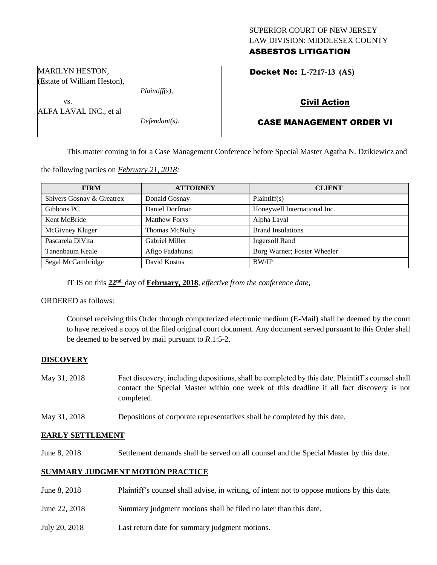# SUPERIOR COURT OF NEW JERSEY LAW DIVISION: MIDDLESEX COUNTY ASBESTOS LITIGATION

Docket No: **L-7217-13 (AS)** 

Civil Action

# CASE MANAGEMENT ORDER VI

This matter coming in for a Case Management Conference before Special Master Agatha N. Dzikiewicz and

the following parties on *February 21, 2018:*

| <b>FIRM</b>               | <b>ATTORNEY</b>      | <b>CLIENT</b>                |
|---------------------------|----------------------|------------------------------|
| Shivers Gosnay & Greatrex | Donald Gosnay        | Plaintiff(s)                 |
| Gibbons PC                | Daniel Dorfman       | Honeywell International Inc. |
| Kent McBride              | <b>Matthew Forys</b> | Alpha Laval                  |
| McGivney Kluger           | Thomas McNulty       | <b>Brand Insulations</b>     |
| Pascarela DiVita          | Gabriel Miller       | <b>Ingersoll Rand</b>        |
| Tanenbaum Keale           | Afigo Fadahunsi      | Borg Warner; Foster Wheeler  |
| Segal McCambridge         | David Kostus         | <b>BW/IP</b>                 |

IT IS on this  $22<sup>nd</sup>$  day of **February, 2018**, *effective from the conference date*;

ORDERED as follows:

Counsel receiving this Order through computerized electronic medium (E-Mail) shall be deemed by the court to have received a copy of the filed original court document. Any document served pursuant to this Order shall be deemed to be served by mail pursuant to *R*.1:5-2.

# **DISCOVERY**

- May 31, 2018 Fact discovery, including depositions, shall be completed by this date. Plaintiff's counsel shall contact the Special Master within one week of this deadline if all fact discovery is not completed.
- May 31, 2018 Depositions of corporate representatives shall be completed by this date.

# **EARLY SETTLEMENT**

June 8, 2018 Settlement demands shall be served on all counsel and the Special Master by this date.

# **SUMMARY JUDGMENT MOTION PRACTICE**

- June 8, 2018 Plaintiff's counsel shall advise, in writing, of intent not to oppose motions by this date.
- June 22, 2018 Summary judgment motions shall be filed no later than this date.
- July 20, 2018 Last return date for summary judgment motions.

MARILYN HESTON, (Estate of William Heston),

*Plaintiff(s),*

*Defendant(s).*

vs.

ALFA LAVAL INC., et al